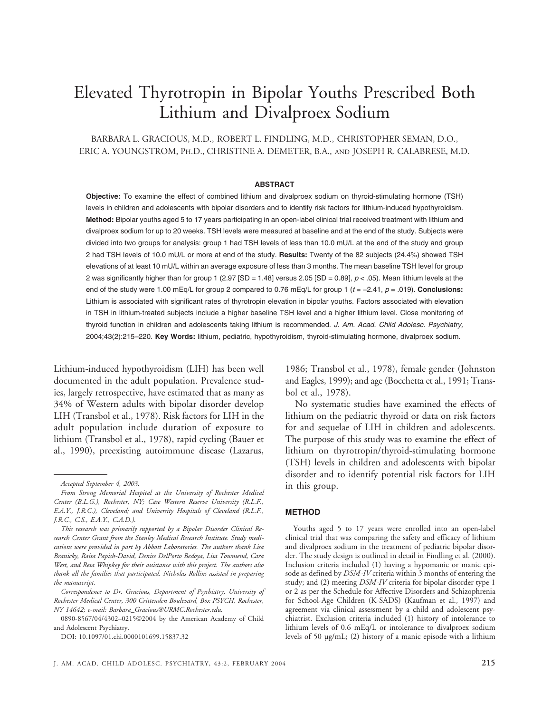# Elevated Thyrotropin in Bipolar Youths Prescribed Both Lithium and Divalproex Sodium

BARBARA L. GRACIOUS, M.D., ROBERT L. FINDLING, M.D., CHRISTOPHER SEMAN, D.O., ERIC A. YOUNGSTROM, PH.D., CHRISTINE A. DEMETER, B.A., AND JOSEPH R. CALABRESE, M.D.

#### **ABSTRACT**

**Objective:** To examine the effect of combined lithium and divalproex sodium on thyroid-stimulating hormone (TSH) levels in children and adolescents with bipolar disorders and to identify risk factors for lithium-induced hypothyroidism. **Method:** Bipolar youths aged 5 to 17 years participating in an open-label clinical trial received treatment with lithium and divalproex sodium for up to 20 weeks. TSH levels were measured at baseline and at the end of the study. Subjects were divided into two groups for analysis: group 1 had TSH levels of less than 10.0 mU/L at the end of the study and group 2 had TSH levels of 10.0 mU/L or more at end of the study. **Results:** Twenty of the 82 subjects (24.4%) showed TSH elevations of at least 10 mU/L within an average exposure of less than 3 months. The mean baseline TSH level for group 2 was significantly higher than for group 1 (2.97 [SD = 1.48] versus 2.05 [SD = 0.89],  $p < .05$ ). Mean lithium levels at the end of the study were 1.00 mEq/L for group 2 compared to 0.76 mEq/L for group 1 (*t* = −2.41, *p* = .019). **Conclusions:** Lithium is associated with significant rates of thyrotropin elevation in bipolar youths. Factors associated with elevation in TSH in lithium-treated subjects include a higher baseline TSH level and a higher lithium level. Close monitoring of thyroid function in children and adolescents taking lithium is recommended. *J. Am. Acad. Child Adolesc. Psychiatry,* 2004;43(2):215–220. **Key Words:** lithium, pediatric, hypothyroidism, thyroid-stimulating hormone, divalproex sodium.

Lithium-induced hypothyroidism (LIH) has been well documented in the adult population. Prevalence studies, largely retrospective, have estimated that as many as 34% of Western adults with bipolar disorder develop LIH (Transbol et al., 1978). Risk factors for LIH in the adult population include duration of exposure to lithium (Transbol et al., 1978), rapid cycling (Bauer et al., 1990), preexisting autoimmune disease (Lazarus,

1986; Transbol et al., 1978), female gender (Johnston and Eagles, 1999); and age (Bocchetta et al., 1991; Transbol et al., 1978).

No systematic studies have examined the effects of lithium on the pediatric thyroid or data on risk factors for and sequelae of LIH in children and adolescents. The purpose of this study was to examine the effect of lithium on thyrotropin/thyroid-stimulating hormone (TSH) levels in children and adolescents with bipolar disorder and to identify potential risk factors for LIH in this group.

### **METHOD**

Youths aged 5 to 17 years were enrolled into an open-label clinical trial that was comparing the safety and efficacy of lithium and divalproex sodium in the treatment of pediatric bipolar disorder. The study design is outlined in detail in Findling et al. (2000). Inclusion criteria included (1) having a hypomanic or manic episode as defined by *DSM-IV* criteria within 3 months of entering the study; and (2) meeting *DSM-IV* criteria for bipolar disorder type 1 or 2 as per the Schedule for Affective Disorders and Schizophrenia for School-Age Children (K-SADS) (Kaufman et al., 1997) and agreement via clinical assessment by a child and adolescent psychiatrist. Exclusion criteria included (1) history of intolerance to lithium levels of 0.6 mEq/L or intolerance to divalproex sodium levels of 50 µg/mL; (2) history of a manic episode with a lithium

*Accepted September 4, 2003.*

*From Strong Memorial Hospital at the University of Rochester Medical Center (B.L.G.), Rochester, NY; Case Western Reserve University (R.L.F., E.A.Y., J.R.C.), Cleveland; and University Hospitals of Cleveland (R.L.F., J.R.C., C.S., E.A.Y., C.A.D.).*

*This research was primarily supported by a Bipolar Disorder Clinical Research Center Grant from the Stanley Medical Research Institute. Study medications were provided in part by Abbott Laboratories. The authors thank Lisa Branicky, Raisa Papish-David, Denise DelPorto Bedoya, Lisa Townsend, Cara West, and Resa Whipkey for their assistance with this project. The authors also thank all the families that participated. Nicholas Rollins assisted in preparing the manuscript.*

*Correspondence to Dr. Gracious, Department of Psychiatry, University of Rochester Medical Center, 300 Crittenden Boulevard, Box PSYCH, Rochester, NY 14642; e-mail: Barbara\_Gracious@URMC.Rochester.edu.*

<sup>0890-8567/04/4302–0215©2004</sup> by the American Academy of Child and Adolescent Psychiatry.

DOI: 10.1097/01.chi.0000101699.15837.32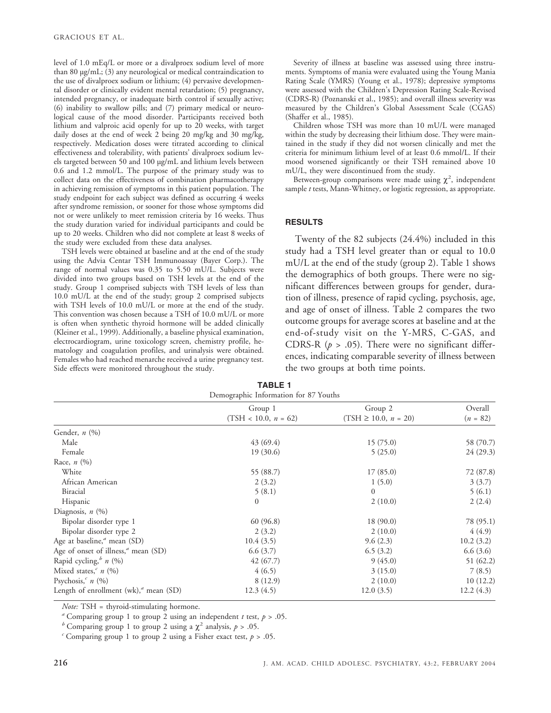level of 1.0 mEq/L or more or a divalproex sodium level of more than 80 µg/mL; (3) any neurological or medical contraindication to the use of divalproex sodium or lithium; (4) pervasive developmental disorder or clinically evident mental retardation; (5) pregnancy, intended pregnancy, or inadequate birth control if sexually active; (6) inability to swallow pills; and (7) primary medical or neurological cause of the mood disorder. Participants received both lithium and valproic acid openly for up to 20 weeks, with target daily doses at the end of week 2 being 20 mg/kg and 30 mg/kg, respectively. Medication doses were titrated according to clinical effectiveness and tolerability, with patients' divalproex sodium levels targeted between 50 and 100 µg/mL and lithium levels between 0.6 and 1.2 mmol/L. The purpose of the primary study was to collect data on the effectiveness of combination pharmacotherapy in achieving remission of symptoms in this patient population. The study endpoint for each subject was defined as occurring 4 weeks after syndrome remission, or sooner for those whose symptoms did not or were unlikely to meet remission criteria by 16 weeks. Thus the study duration varied for individual participants and could be up to 20 weeks. Children who did not complete at least 8 weeks of the study were excluded from these data analyses.

TSH levels were obtained at baseline and at the end of the study using the Advia Centar TSH Immunoassay (Bayer Corp.). The range of normal values was 0.35 to 5.50 mU/L. Subjects were divided into two groups based on TSH levels at the end of the study. Group 1 comprised subjects with TSH levels of less than 10.0 mU/L at the end of the study; group 2 comprised subjects with TSH levels of 10.0 mU/L or more at the end of the study. This convention was chosen because a TSH of 10.0 mU/L or more is often when synthetic thyroid hormone will be added clinically (Kleiner et al., 1999). Additionally, a baseline physical examination, electrocardiogram, urine toxicology screen, chemistry profile, hematology and coagulation profiles, and urinalysis were obtained. Females who had reached menarche received a urine pregnancy test. Side effects were monitored throughout the study.

Severity of illness at baseline was assessed using three instruments. Symptoms of mania were evaluated using the Young Mania Rating Scale (YMRS) (Young et al., 1978); depressive symptoms were assessed with the Children's Depression Rating Scale-Revised (CDRS-R) (Poznanski et al., 1985); and overall illness severity was measured by the Children's Global Assessment Scale (CGAS) (Shaffer et al., 1985).

Children whose TSH was more than 10 mU/L were managed within the study by decreasing their lithium dose. They were maintained in the study if they did not worsen clinically and met the criteria for minimum lithium level of at least 0.6 mmol/L. If their mood worsened significantly or their TSH remained above 10 mU/L, they were discontinued from the study.

Between-group comparisons were made using  $\chi^2$ , independent sample *t* tests, Mann-Whitney, or logistic regression, as appropriate.

# **RESULTS**

Twenty of the 82 subjects (24.4%) included in this study had a TSH level greater than or equal to 10.0 mU/L at the end of the study (group 2). Table 1 shows the demographics of both groups. There were no significant differences between groups for gender, duration of illness, presence of rapid cycling, psychosis, age, and age of onset of illness. Table 2 compares the two outcome groups for average scores at baseline and at the end-of-study visit on the Y-MRS, C-GAS, and CDRS-R  $(p > .05)$ . There were no significant differences, indicating comparable severity of illness between the two groups at both time points.

| Demographic Information for 87 Youths                        |                        |                          |            |  |
|--------------------------------------------------------------|------------------------|--------------------------|------------|--|
|                                                              | Group 1                | Group 2                  | Overall    |  |
|                                                              | $(TSH < 10.0, n = 62)$ | $(TSH \ge 10.0, n = 20)$ | $(n = 82)$ |  |
| Gender, $n$ $(\%)$                                           |                        |                          |            |  |
| Male                                                         | 43(69.4)               | 15(75.0)                 | 58 (70.7)  |  |
| Female                                                       | 19(30.6)               | 5(25.0)                  | 24(29.3)   |  |
| Race, $n(%)$                                                 |                        |                          |            |  |
| White                                                        | 55 (88.7)              | 17(85.0)                 | 72 (87.8)  |  |
| African American                                             | 2(3.2)                 | 1(5.0)                   | 3(3.7)     |  |
| Biracial                                                     | 5(8.1)                 | $\Omega$                 | 5(6.1)     |  |
| Hispanic                                                     | $\mathbf{0}$           | 2(10.0)                  | 2(2.4)     |  |
| Diagnosis, $n$ (%)                                           |                        |                          |            |  |
| Bipolar disorder type 1                                      | 60 (96.8)              | 18 (90.0)                | 78 (95.1)  |  |
| Bipolar disorder type 2                                      | 2(3.2)                 | 2(10.0)                  | 4(4.9)     |  |
| Age at baseline, <sup>a</sup> mean (SD)                      | 10.4(3.5)              | 9.6(2.3)                 | 10.2(3.2)  |  |
| Age of onset of illness, <sup><math>a</math></sup> mean (SD) | 6.6(3.7)               | 6.5(3.2)                 | 6.6(3.6)   |  |
| Rapid cycling, $n(%)$                                        | 42(67.7)               | 9(45.0)                  | 51 (62.2)  |  |
| Mixed states, $n$ (%)                                        | 4(6.5)                 | 3(15.0)                  | 7(8.5)     |  |
| Psychosis, $n(\%)$                                           | 8 (12.9)               | 2(10.0)                  | 10(12.2)   |  |
| Length of enrollment (wk), <sup>a</sup> mean (SD)            | 12.3(4.5)              | 12.0(3.5)                | 12.2(4.3)  |  |

**TABLE 1**

*Note:* TSH = thyroid-stimulating hormone.<br><sup>*a*</sup> Comparing group 1 to group 2 using a  $\chi^2$  analysis, *p* > .05. *b* Comparing group 1 to group 2 using a  $\chi^2$  analysis, *p* > .05.

Comparing group 1 to group 2 using a Fisher exact test,  $p > .05$ .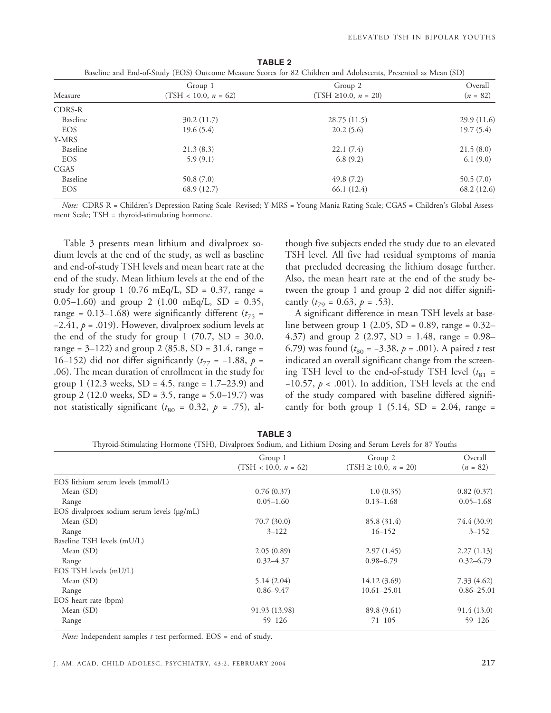|          | Group 1<br>$(TSH < 10.0, n = 62)$ | Group 2                  | Overall<br>$(n = 82)$ |
|----------|-----------------------------------|--------------------------|-----------------------|
| Measure  |                                   | $(TSH \ge 10.0, n = 20)$ |                       |
| CDRS-R   |                                   |                          |                       |
| Baseline | 30.2(11.7)                        | 28.75(11.5)              | 29.9(11.6)            |
| EOS      | 19.6(5.4)                         | 20.2(5.6)                | 19.7(5.4)             |
| Y-MRS    |                                   |                          |                       |
| Baseline | 21.3(8.3)                         | 22.1(7.4)                | 21.5(8.0)             |
| EOS      | 5.9(9.1)                          | 6.8(9.2)                 | 6.1(9.0)              |
| CGAS     |                                   |                          |                       |
| Baseline | 50.8(7.0)                         | 49.8(7.2)                | 50.5(7.0)             |
| EOS      | 68.9 (12.7)                       | 66.1(12.4)               | 68.2 (12.6)           |

**TABLE 2**

Baseline and End-of-Study (EOS) Outcome Measure Scores for 82 Children and Adolescents, Presented as Mean (SD)

*Note:* CDRS-R = Children's Depression Rating Scale–Revised; Y-MRS = Young Mania Rating Scale; CGAS = Children's Global Assessment Scale; TSH = thyroid-stimulating hormone.

Table 3 presents mean lithium and divalproex sodium levels at the end of the study, as well as baseline and end-of-study TSH levels and mean heart rate at the end of the study. Mean lithium levels at the end of the study for group 1 (0.76 mEq/L,  $SD = 0.37$ , range = 0.05–1.60) and group 2 (1.00 mEq/L, SD = 0.35, range =  $0.13-1.68$ ) were significantly different ( $t_{75}$  = −2.41, *p* = .019). However, divalproex sodium levels at the end of the study for group 1  $(70.7, SD = 30.0,$ range =  $3-122$ ) and group 2 (85.8, SD = 31.4, range = 16–152) did not differ significantly ( $t_{77}$  = -1.88,  $p$  = .06). The mean duration of enrollment in the study for group 1 (12.3 weeks,  $SD = 4.5$ , range = 1.7–23.9) and group 2 (12.0 weeks,  $SD = 3.5$ , range = 5.0–19.7) was not statistically significant ( $t_{80}$  = 0.32,  $p$  = .75), al-

though five subjects ended the study due to an elevated TSH level. All five had residual symptoms of mania that precluded decreasing the lithium dosage further. Also, the mean heart rate at the end of the study between the group 1 and group 2 did not differ significantly  $(t_{79} = 0.63, p = .53)$ .

A significant difference in mean TSH levels at baseline between group 1 (2.05, SD = 0.89, range =  $0.32-$ 4.37) and group 2 (2.97, SD = 1.48, range = 0.98– 6.79) was found  $(t_{80} = -3.38, p = .001)$ . A paired *t* test indicated an overall significant change from the screening TSH level to the end-of-study TSH level  $(t_{81} =$ −10.57, *p* < .001). In addition, TSH levels at the end of the study compared with baseline differed significantly for both group 1  $(5.14, SD = 2.04, range =$ 

| Thyroid-Stimulating Hormone (TSH), Divalproex Sodium, and Lithium Dosing and Serum Levels for 87 Youths |                                   |                                     |                       |  |
|---------------------------------------------------------------------------------------------------------|-----------------------------------|-------------------------------------|-----------------------|--|
|                                                                                                         | Group 1<br>$(TSH < 10.0, n = 62)$ | Group 2<br>$(TSH \ge 10.0, n = 20)$ | Overall<br>$(n = 82)$ |  |
|                                                                                                         |                                   |                                     |                       |  |
| EOS lithium serum levels (mmol/L)                                                                       |                                   |                                     |                       |  |
| Mean (SD)                                                                                               | 0.76(0.37)                        | 1.0(0.35)                           | 0.82(0.37)            |  |
| Range                                                                                                   | $0.05 - 1.60$                     | $0.13 - 1.68$                       | $0.05 - 1.68$         |  |
| EOS divalproex sodium serum levels (µg/mL)                                                              |                                   |                                     |                       |  |
| Mean (SD)                                                                                               | 70.7(30.0)                        | 85.8 (31.4)                         | 74.4 (30.9)           |  |
| Range                                                                                                   | $3 - 122$                         | $16 - 152$                          | $3 - 152$             |  |
| Baseline TSH levels (mU/L)                                                                              |                                   |                                     |                       |  |
| Mean (SD)                                                                                               | 2.05(0.89)                        | 2.97(1.45)                          | 2.27(1.13)            |  |
| Range                                                                                                   | $0.32 - 4.37$                     | $0.98 - 6.79$                       | $0.32 - 6.79$         |  |
| EOS TSH levels (mU/L)                                                                                   |                                   |                                     |                       |  |
| Mean (SD)                                                                                               | 5.14(2.04)                        | 14.12 (3.69)                        | 7.33(4.62)            |  |
| Range                                                                                                   | $0.86 - 9.47$                     | $10.61 - 25.01$                     | $0.86 - 25.01$        |  |
| EOS heart rate (bpm)                                                                                    |                                   |                                     |                       |  |
| Mean (SD)                                                                                               | 91.93 (13.98)                     | 89.8 (9.61)                         | 91.4(13.0)            |  |
| Range                                                                                                   | $59 - 126$                        | $71 - 105$                          | $59 - 126$            |  |

**TABLE 3**

*Note:* Independent samples *t* test performed. EOS = end of study.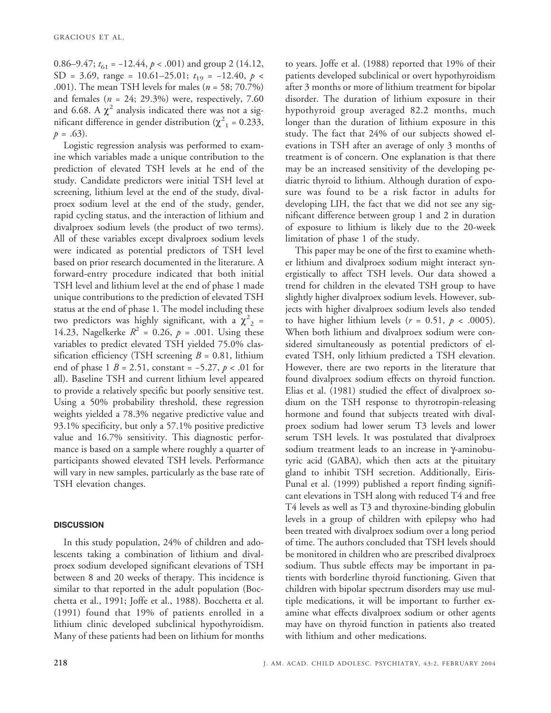0.86–9.47;  $t_{61} = -12.44$ ,  $p < .001$ ) and group 2 (14.12, SD = 3.69, range = 10.61–25.01;  $t_{19}$  = -12.40,  $p \lt$ .001). The mean TSH levels for males (*n* = 58; 70.7%) and females  $(n = 24; 29.3%)$  were, respectively, 7.60 and 6.68. A  $\chi^2$  analysis indicated there was not a significant difference in gender distribution ( $\chi^2$ <sub>1</sub> = 0.233,  $p = .63$ ).

Logistic regression analysis was performed to examine which variables made a unique contribution to the prediction of elevated TSH levels at he end of the study. Candidate predictors were initial TSH level at screening, lithium level at the end of the study, divalproex sodium level at the end of the study, gender, rapid cycling status, and the interaction of lithium and divalproex sodium levels (the product of two terms). All of these variables except divalproex sodium levels were indicated as potential predictors of TSH level based on prior research documented in the literature. A forward-entry procedure indicated that both initial TSH level and lithium level at the end of phase 1 made unique contributions to the prediction of elevated TSH status at the end of phase 1. The model including these two predictors was highly significant, with a  $\chi^2$ <sub>2</sub> = 14.23, Nagelkerke  $R^2 = 0.26$ ,  $p = .001$ . Using these variables to predict elevated TSH yielded 75.0% classification efficiency (TSH screening *B* = 0.81, lithium end of phase 1 *B* = 2.51, constant = −5.27, *p* < .01 for all). Baseline TSH and current lithium level appeared to provide a relatively specific but poorly sensitive test. Using a 50% probability threshold, these regression weights yielded a 78.3% negative predictive value and 93.1% specificity, but only a 57.1% positive predictive value and 16.7% sensitivity. This diagnostic performance is based on a sample where roughly a quarter of participants showed elevated TSH levels. Performance will vary in new samples, particularly as the base rate of TSH elevation changes.

## **DISCUSSION**

In this study population, 24% of children and adolescents taking a combination of lithium and divalproex sodium developed significant elevations of TSH between 8 and 20 weeks of therapy. This incidence is similar to that reported in the adult population (Bocchetta et al., 1991; Joffe et al., 1988). Bocchetta et al. (1991) found that 19% of patients enrolled in a lithium clinic developed subclinical hypothyroidism. Many of these patients had been on lithium for months

to years. Joffe et al. (1988) reported that 19% of their patients developed subclinical or overt hypothyroidism after 3 months or more of lithium treatment for bipolar disorder. The duration of lithium exposure in their hypothyroid group averaged 82.2 months, much longer than the duration of lithium exposure in this study. The fact that 24% of our subjects showed elevations in TSH after an average of only 3 months of treatment is of concern. One explanation is that there may be an increased sensitivity of the developing pediatric thyroid to lithium. Although duration of exposure was found to be a risk factor in adults for developing LIH, the fact that we did not see any significant difference between group 1 and 2 in duration of exposure to lithium is likely due to the 20-week limitation of phase 1 of the study.

This paper may be one of the first to examine whether lithium and divalproex sodium might interact synergistically to affect TSH levels. Our data showed a trend for children in the elevated TSH group to have slightly higher divalproex sodium levels. However, subjects with higher divalproex sodium levels also tended to have higher lithium levels  $(r = 0.51, p < .0005)$ . When both lithium and divalproex sodium were considered simultaneously as potential predictors of elevated TSH, only lithium predicted a TSH elevation. However, there are two reports in the literature that found divalproex sodium effects on thyroid function. Elias et al. (1981) studied the effect of divalproex sodium on the TSH response to thyrotropin-releasing hormone and found that subjects treated with divalproex sodium had lower serum T3 levels and lower serum TSH levels. It was postulated that divalproex sodium treatment leads to an increase in γ-aminobutyric acid (GABA), which then acts at the pituitary gland to inhibit TSH secretion. Additionally, Eiris-Punal et al. (1999) published a report finding significant elevations in TSH along with reduced T4 and free T4 levels as well as T3 and thyroxine-binding globulin levels in a group of children with epilepsy who had been treated with divalproex sodium over a long period of time. The authors concluded that TSH levels should be monitored in children who are prescribed divalproex sodium. Thus subtle effects may be important in patients with borderline thyroid functioning. Given that children with bipolar spectrum disorders may use multiple medications, it will be important to further examine what effects divalproex sodium or other agents may have on thyroid function in patients also treated with lithium and other medications.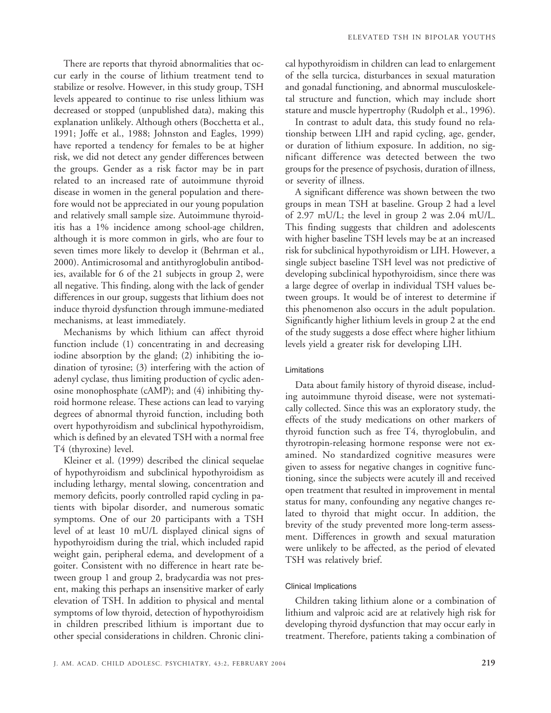There are reports that thyroid abnormalities that occur early in the course of lithium treatment tend to stabilize or resolve. However, in this study group, TSH levels appeared to continue to rise unless lithium was decreased or stopped (unpublished data), making this explanation unlikely. Although others (Bocchetta et al., 1991; Joffe et al., 1988; Johnston and Eagles, 1999) have reported a tendency for females to be at higher risk, we did not detect any gender differences between the groups. Gender as a risk factor may be in part related to an increased rate of autoimmune thyroid disease in women in the general population and therefore would not be appreciated in our young population and relatively small sample size. Autoimmune thyroiditis has a 1% incidence among school-age children, although it is more common in girls, who are four to seven times more likely to develop it (Behrman et al., 2000). Antimicrosomal and antithyroglobulin antibodies, available for 6 of the 21 subjects in group 2, were all negative. This finding, along with the lack of gender differences in our group, suggests that lithium does not induce thyroid dysfunction through immune-mediated mechanisms, at least immediately.

Mechanisms by which lithium can affect thyroid function include (1) concentrating in and decreasing iodine absorption by the gland; (2) inhibiting the iodination of tyrosine; (3) interfering with the action of adenyl cyclase, thus limiting production of cyclic adenosine monophosphate (cAMP); and (4) inhibiting thyroid hormone release. These actions can lead to varying degrees of abnormal thyroid function, including both overt hypothyroidism and subclinical hypothyroidism, which is defined by an elevated TSH with a normal free T4 (thyroxine) level.

Kleiner et al. (1999) described the clinical sequelae of hypothyroidism and subclinical hypothyroidism as including lethargy, mental slowing, concentration and memory deficits, poorly controlled rapid cycling in patients with bipolar disorder, and numerous somatic symptoms. One of our 20 participants with a TSH level of at least 10 mU/L displayed clinical signs of hypothyroidism during the trial, which included rapid weight gain, peripheral edema, and development of a goiter. Consistent with no difference in heart rate between group 1 and group 2, bradycardia was not present, making this perhaps an insensitive marker of early elevation of TSH. In addition to physical and mental symptoms of low thyroid, detection of hypothyroidism in children prescribed lithium is important due to other special considerations in children. Chronic clinical hypothyroidism in children can lead to enlargement of the sella turcica, disturbances in sexual maturation and gonadal functioning, and abnormal musculoskeletal structure and function, which may include short stature and muscle hypertrophy (Rudolph et al., 1996).

In contrast to adult data, this study found no relationship between LIH and rapid cycling, age, gender, or duration of lithium exposure. In addition, no significant difference was detected between the two groups for the presence of psychosis, duration of illness, or severity of illness.

A significant difference was shown between the two groups in mean TSH at baseline. Group 2 had a level of 2.97 mU/L; the level in group 2 was 2.04 mU/L. This finding suggests that children and adolescents with higher baseline TSH levels may be at an increased risk for subclinical hypothyroidism or LIH. However, a single subject baseline TSH level was not predictive of developing subclinical hypothyroidism, since there was a large degree of overlap in individual TSH values between groups. It would be of interest to determine if this phenomenon also occurs in the adult population. Significantly higher lithium levels in group 2 at the end of the study suggests a dose effect where higher lithium levels yield a greater risk for developing LIH.

## Limitations

Data about family history of thyroid disease, including autoimmune thyroid disease, were not systematically collected. Since this was an exploratory study, the effects of the study medications on other markers of thyroid function such as free T4, thyroglobulin, and thyrotropin-releasing hormone response were not examined. No standardized cognitive measures were given to assess for negative changes in cognitive functioning, since the subjects were acutely ill and received open treatment that resulted in improvement in mental status for many, confounding any negative changes related to thyroid that might occur. In addition, the brevity of the study prevented more long-term assessment. Differences in growth and sexual maturation were unlikely to be affected, as the period of elevated TSH was relatively brief.

#### Clinical Implications

Children taking lithium alone or a combination of lithium and valproic acid are at relatively high risk for developing thyroid dysfunction that may occur early in treatment. Therefore, patients taking a combination of